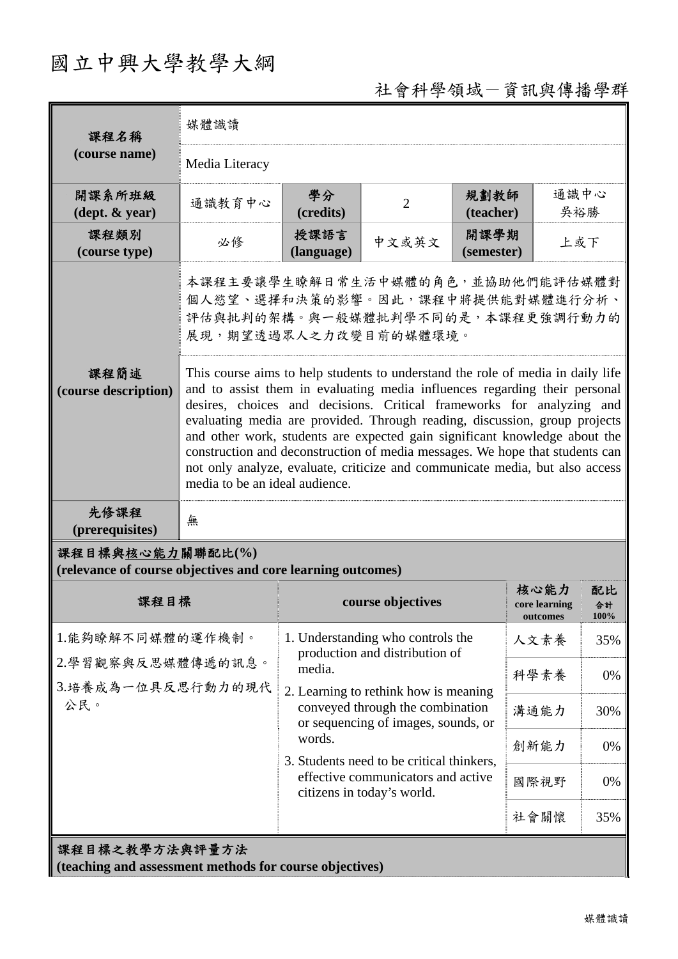# 國立中興大學教學大綱

## 社會科學領域-資訊與傳播學群

| 課程名稱                                                                            | 媒體識讀                                                                                                                                                                                                                                                                                                                                                                                                                                                                                                                                                                                                 |                                                                                                                  |                   |                    |                                   |                  |  |
|---------------------------------------------------------------------------------|------------------------------------------------------------------------------------------------------------------------------------------------------------------------------------------------------------------------------------------------------------------------------------------------------------------------------------------------------------------------------------------------------------------------------------------------------------------------------------------------------------------------------------------------------------------------------------------------------|------------------------------------------------------------------------------------------------------------------|-------------------|--------------------|-----------------------------------|------------------|--|
| (course name)                                                                   | Media Literacy                                                                                                                                                                                                                                                                                                                                                                                                                                                                                                                                                                                       |                                                                                                                  |                   |                    |                                   |                  |  |
| 開課系所班級<br>$(\text{dept.} \& \text{ year})$                                      | 通識教育中心                                                                                                                                                                                                                                                                                                                                                                                                                                                                                                                                                                                               | 學分<br>(credits)                                                                                                  | $\overline{2}$    | 規劃教師<br>(teacher)  |                                   | 通識中心<br>吳裕勝      |  |
| 課程類別<br>(course type)                                                           | 必修                                                                                                                                                                                                                                                                                                                                                                                                                                                                                                                                                                                                   | 授課語言<br>(language)                                                                                               | 中文或英文             | 開課學期<br>(semester) | 上或下                               |                  |  |
|                                                                                 | 本課程主要讓學生瞭解日常生活中媒體的角色,並協助他們能評估媒體對<br>個人慾望、選擇和決策的影響。因此,課程中將提供能對媒體進行分析、<br>評估與批判的架構。與一般媒體批判學不同的是,本課程更強調行動力的<br>展現,期望透過眾人之力改變目前的媒體環境。                                                                                                                                                                                                                                                                                                                                                                                                                                                                    |                                                                                                                  |                   |                    |                                   |                  |  |
| 課程簡述<br>(course description)                                                    | This course aims to help students to understand the role of media in daily life<br>and to assist them in evaluating media influences regarding their personal<br>desires, choices and decisions. Critical frameworks for analyzing and<br>evaluating media are provided. Through reading, discussion, group projects<br>and other work, students are expected gain significant knowledge about the<br>construction and deconstruction of media messages. We hope that students can<br>not only analyze, evaluate, criticize and communicate media, but also access<br>media to be an ideal audience. |                                                                                                                  |                   |                    |                                   |                  |  |
| 先修課程<br>(prerequisites)                                                         | 無                                                                                                                                                                                                                                                                                                                                                                                                                                                                                                                                                                                                    |                                                                                                                  |                   |                    |                                   |                  |  |
| 課程目標與核心能力關聯配比(%)<br>(relevance of course objectives and core learning outcomes) |                                                                                                                                                                                                                                                                                                                                                                                                                                                                                                                                                                                                      |                                                                                                                  |                   |                    |                                   |                  |  |
| 課程目標                                                                            |                                                                                                                                                                                                                                                                                                                                                                                                                                                                                                                                                                                                      |                                                                                                                  | course objectives |                    | 核心能力<br>core learning<br>outcomes | 配比<br>合計<br>100% |  |
| 1.能夠瞭解不同媒體的運作機制。                                                                |                                                                                                                                                                                                                                                                                                                                                                                                                                                                                                                                                                                                      | 1. Understanding who controls the<br>production and distribution of                                              |                   |                    | 人文素養                              | 35%              |  |
| 2.學習觀察與反思媒體傳遞的訊息。<br>3.培養成為一位具反思行動力的現代<br>公民。                                   |                                                                                                                                                                                                                                                                                                                                                                                                                                                                                                                                                                                                      | media.                                                                                                           |                   | 科學素養               | 0%                                |                  |  |
|                                                                                 |                                                                                                                                                                                                                                                                                                                                                                                                                                                                                                                                                                                                      | 2. Learning to rethink how is meaning<br>conveyed through the combination<br>or sequencing of images, sounds, or |                   |                    | 溝通能力                              | 30%              |  |
|                                                                                 |                                                                                                                                                                                                                                                                                                                                                                                                                                                                                                                                                                                                      | words.                                                                                                           |                   |                    | 創新能力                              | 0%               |  |
|                                                                                 |                                                                                                                                                                                                                                                                                                                                                                                                                                                                                                                                                                                                      | 3. Students need to be critical thinkers,<br>effective communicators and active<br>citizens in today's world.    |                   |                    | 國際視野                              | 0%               |  |
|                                                                                 |                                                                                                                                                                                                                                                                                                                                                                                                                                                                                                                                                                                                      |                                                                                                                  |                   |                    | 社會關懷                              | 35%              |  |
| 課程目標之教學方法與評量方法<br>(teaching and assessment methods for course objectives)       |                                                                                                                                                                                                                                                                                                                                                                                                                                                                                                                                                                                                      |                                                                                                                  |                   |                    |                                   |                  |  |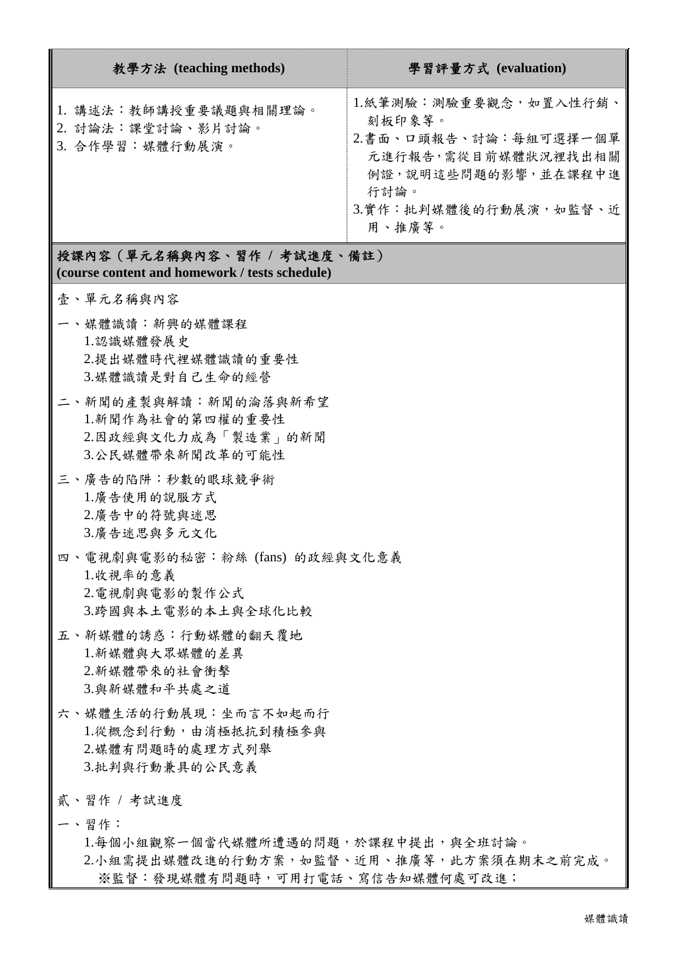| 教學方法 (teaching methods)                                       | 學習評量方式 (evaluation)                                                                                                                               |
|---------------------------------------------------------------|---------------------------------------------------------------------------------------------------------------------------------------------------|
| 1. 講述法:教師講授重要議題與相關理論。<br>2. 討論法:課堂討論、影片討論。<br>3. 合作學習:媒體行動展演。 | 1.紙筆測驗:測驗重要觀念,如置入性行銷、<br>刻板印象等。<br>2.書面、口頭報告、討論:每組可選擇一個單<br>元進行報告,需從目前媒體狀況裡找出相關<br>例證,說明這些問題的影響,並在課程中進<br>行討論。<br>3.實作:批判媒體後的行動展演,如監督、近<br>用、推廣等。 |

#### 授課內容(單元名稱與內容、習作 **/** 考試進度、備註) **(course content and homework / tests schedule)**

- 壹、單元名稱與內容
- 一、媒體識讀:新興的媒體課程 1.認識媒體發展史 2.提出媒體時代裡媒體識讀的重要性 3.媒體識讀是對自己生命的經營
- 二、新聞的產製與解讀:新聞的淪落與新希望 1.新聞作為社會的第四權的重要性 2.因政經與文化力成為「製造業」的新聞 3.公民媒體帶來新聞改革的可能性
- 三、廣告的陷阱:秒數的眼球競爭術 1.廣告使用的說服方式 2.廣告中的符號與迷思 3.廣告迷思與多元文化
- 四、電視劇與電影的秘密:粉絲 (fans) 的政經與文化意義 1.收視率的意義 2.電視劇與電影的製作公式 3.跨國與本土電影的本土與全球化比較
- 五、新媒體的誘惑:行動媒體的翻天覆地 1.新媒體與大眾媒體的差異 2.新媒體帶來的社會衝擊 3.與新媒體和平共處之道
- 六、媒體生活的行動展現:坐而言不如起而行 1.從概念到行動,由消極抵抗到積極參與 2.媒體有問題時的處理方式列舉 3.批判與行動兼具的公民意義
- 貳、習作 / 考試進度
- 一、習作:

1.每個小組觀察一個當代媒體所遭遇的問題,於課程中提出,與全班討論。 2.小組需提出媒體改進的行動方案,如監督、近用、推廣等,此方案須在期末之前完成。 ※監督:發現媒體有問題時,可用打電話、寫信告知媒體何處可改進;